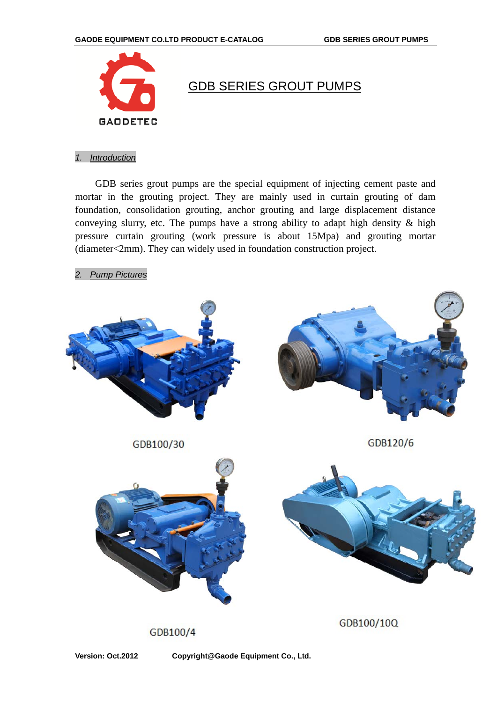

## GDB SERIES GROUT PUMPS

## *1. Introduction*

GDB series grout pumps are the special equipment of injecting cement paste and mortar in the grouting project. They are mainly used in curtain grouting of dam foundation, consolidation grouting, anchor grouting and large displacement distance conveying slurry, etc. The pumps have a strong ability to adapt high density & high pressure curtain grouting (work pressure is about 15Mpa) and grouting mortar (diameter<2mm). They can widely used in foundation construction project.

*2. Pump Pictures*



GDB100/4

**Version: Oct.2012 Copyright@Gaode Equipment Co., Ltd.**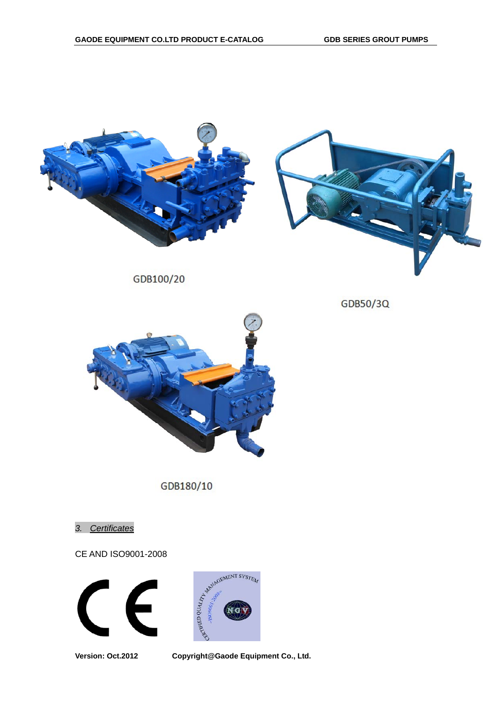

GDB100/20



GDB180/10

*3. Certificates*

CE AND ISO9001-2008





**Version: Oct.2012 Copyright@Gaode Equipment Co., Ltd.** 

## GDB50/3Q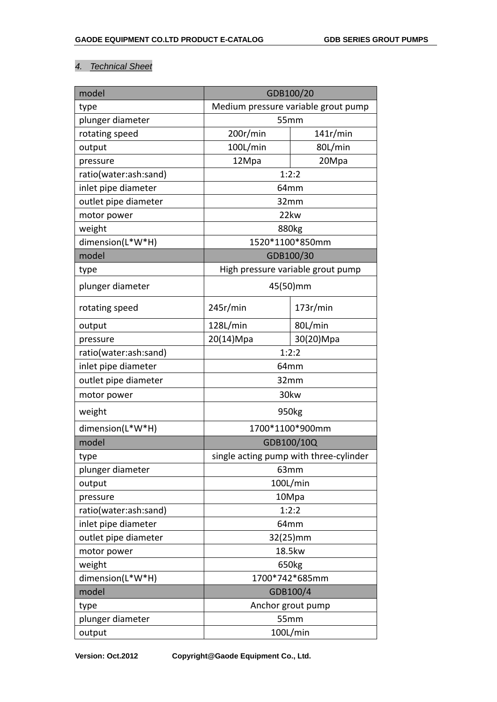## *4. Technical Sheet*

| model                 | GDB100/20                              |           |  |  |
|-----------------------|----------------------------------------|-----------|--|--|
| type                  | Medium pressure variable grout pump    |           |  |  |
| plunger diameter      | 55mm                                   |           |  |  |
| rotating speed        | 200r/min                               | 141r/min  |  |  |
| output                | 100L/min                               | 80L/min   |  |  |
| pressure              | 12Mpa                                  | 20Mpa     |  |  |
| ratio(water:ash:sand) | 1:2:2                                  |           |  |  |
| inlet pipe diameter   | 64mm                                   |           |  |  |
| outlet pipe diameter  | 32mm                                   |           |  |  |
| motor power           | 22kw                                   |           |  |  |
| weight                | 880kg                                  |           |  |  |
| dimension(L*W*H)      | 1520*1100*850mm                        |           |  |  |
| model                 | GDB100/30                              |           |  |  |
| type                  | High pressure variable grout pump      |           |  |  |
| plunger diameter      | 45(50)mm                               |           |  |  |
| rotating speed        | 245r/min                               | 173r/min  |  |  |
| output                | 128L/min                               | 80L/min   |  |  |
| pressure              | 20(14)Mpa                              | 30(20)Mpa |  |  |
| ratio(water:ash:sand) | 1:2:2                                  |           |  |  |
| inlet pipe diameter   | 64mm                                   |           |  |  |
| outlet pipe diameter  | 32mm                                   |           |  |  |
| motor power           | 30kw                                   |           |  |  |
| weight                | 950kg                                  |           |  |  |
| dimension(L*W*H)      | 1700*1100*900mm                        |           |  |  |
| model                 | GDB100/10Q                             |           |  |  |
| type                  | single acting pump with three-cylinder |           |  |  |
| plunger diameter      | 63mm                                   |           |  |  |
| output                | 100L/min                               |           |  |  |
| pressure              | 10Mpa                                  |           |  |  |
| ratio(water:ash:sand) | 1:2:2                                  |           |  |  |
| inlet pipe diameter   | 64mm                                   |           |  |  |
| outlet pipe diameter  | 32(25)mm                               |           |  |  |
| motor power           | 18.5kw                                 |           |  |  |
| weight                | 650kg                                  |           |  |  |
| dimension(L*W*H)      | 1700*742*685mm                         |           |  |  |
| model                 | GDB100/4                               |           |  |  |
| type                  | Anchor grout pump                      |           |  |  |
| plunger diameter      | 55mm                                   |           |  |  |
| output                | 100L/min                               |           |  |  |